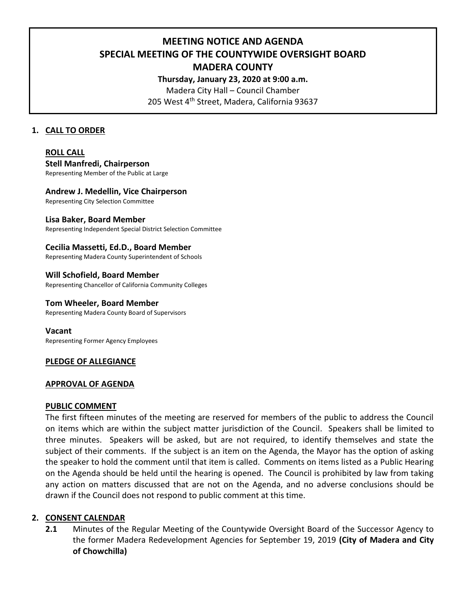**MEETING NOTICE AND AGENDA**

**SPECIAL MEETING OF THE COUNTYWIDE OVERSIGHT BOARD** 

# **MADERA COUNTY**

**Thursday, January 23, 2020 at 9:00 a.m.** 

Madera City Hall – Council Chamber 205 West 4<sup>th</sup> Street, Madera, California 93637

# **1. CALL TO ORDER**

# **ROLL CALL**

**Stell Manfredi, Chairperson** Representing Member of the Public at Large

## **Andrew J. Medellin, Vice Chairperson**

Representing City Selection Committee

## **Lisa Baker, Board Member**

Representing Independent Special District Selection Committee

# **Cecilia Massetti, Ed.D., Board Member**

Representing Madera County Superintendent of Schools

# **Will Schofield, Board Member**

Representing Chancellor of California Community Colleges

#### **Tom Wheeler, Board Member**

Representing Madera County Board of Supervisors

**Vacant** Representing Former Agency Employees

#### **PLEDGE OF ALLEGIANCE**

#### **APPROVAL OF AGENDA**

#### **PUBLIC COMMENT**

The first fifteen minutes of the meeting are reserved for members of the public to address the Council on items which are within the subject matter jurisdiction of the Council. Speakers shall be limited to three minutes. Speakers will be asked, but are not required, to identify themselves and state the subject of their comments. If the subject is an item on the Agenda, the Mayor has the option of asking the speaker to hold the comment until that item is called. Comments on items listed as a Public Hearing on the Agenda should be held until the hearing is opened. The Council is prohibited by law from taking any action on matters discussed that are not on the Agenda, and no adverse conclusions should be drawn if the Council does not respond to public comment at this time.

# **2. CONSENT CALENDAR**

**2.1** Minutes of the Regular Meeting of the Countywide Oversight Board of the Successor Agency to the former Madera Redevelopment Agencies for September 19, 2019 **(City of Madera and City of Chowchilla)**